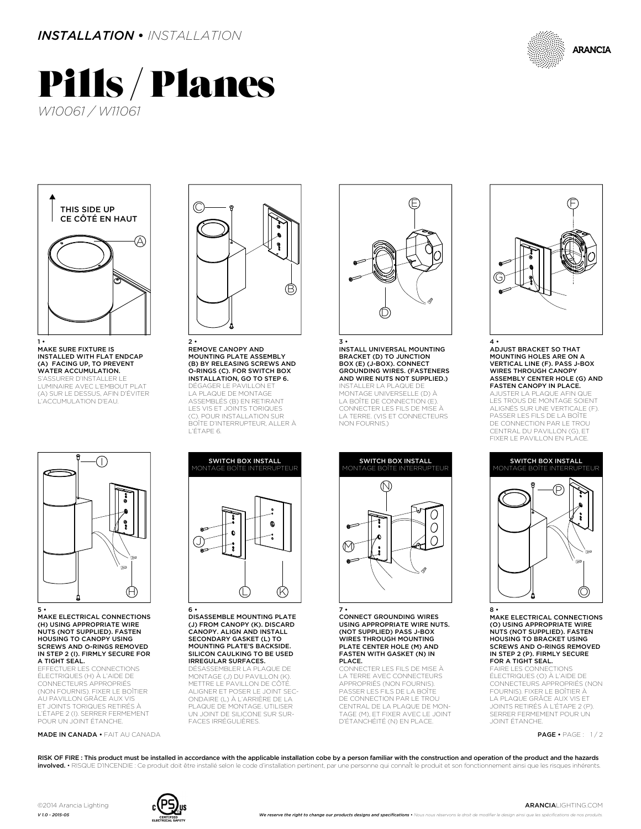

## Pills / Planes *W10061 / W11061*



1 • MAKE SURE FIXTURE IS INSTALLED WITH FLAT ENDCAP (A) FACING UP, TO PREVENT WATER ACCUMULATION. .**.....................**<br>SURER D'INSTALLER LE LUMINAIRE AVEC L'EMBOUT PLAT

(A) SUR LE DESSUS, AFIN D'ÉVITER L'ACCUMULATION D'EAU.



MAKE ELECTRICAL CONNECTIONS (H) USING APPROPRIATE WIRE NUTS (NOT SUPPLIED). FASTEN HOUSING TO CANOPY USING SCREWS AND O-RINGS REMOVED IN STEP 2 (I). FIRMLY SECURE FOR A TIGHT SEAL.

**ECTUER LES CONNECTIONS** ÉLECTRIQUES (H) À L'AIDE DE CONNECTEURS APPROPRIÉS (NON FOURNIS). FIXER LE BOÎTIER AU PAVILLON GRÂCE AUX VIS ET JOINTS TORIQUES RETIRÉS À L'ÉTAPE 2 (I). SERRER FERMEMENT POUR UN JOINT ÉTANCHE.

MADE IN CANADA • FAIT AU CANADA



2 • REMOVE CANOPY AND MOUNTING PLATE ASSEMBLY (B) BY RELEASING SCREWS AND O-RINGS (C). FOR SWITCH BOX INSTALLATION, GO TO STEP 6. DÉGAGER LE PAVILLON ET LA PLAQUE DE MONTAGE ASSEMBLÉS (B) EN RETIRANT LES VIS ET JOINTS TORIQUES (C). POUR INSTALLATION SUR

BOÎTE D'INTERRUPTEUR, ALLER À

L'ÉTAPE 6.



6 • DISASSEMBLE MOUNTING PLATE (J) FROM CANOPY (K). DISCARD CANOPY. ALIGN AND INSTALL SECONDARY GASKET (L) TO MOUNTING PLATE'S BACKSIDE. SILICON CAULKING TO BE USED IRREGULAR SURFACES.

DÉSASSEMBLER LA PLAQUE DE MONTAGE (J) DU PAVILLON (K). METTRE LE PAVILLON DE CÔTÉ. ALIGNER ET POSER LE JOINT SEC-ONDAIRE (L) À L'ARRIÈRE DE LA PLAQUE DE MONTAGE. UTILISER UN JOINT DE SILICONE SUR SUR-FACES IRRÉGULIÈRES.



3 • INSTALL UNIVERSAL MOUNTING BRACKET (D) TO JUNCTION BOX (E) (J-BOX). CONNECT GROUNDING WIRES. (FASTENERS AND WIRE NUTS NOT SUPPLIED.)

INSTALLER LA PLAQUE DE MONTAGE UNIVERSELLE (D) À LA BOÎTE DE CONNECTION (E). CONNECTER LES FILS DE MISE À LA TERRE. (VIS ET CONNECTEURS NON FOURNIS.)



7 • CONNECT GROUNDING WIRES USING APPROPRIATE WIRE NUTS. (NOT SUPPLIED) PASS J-BOX WIRES THROUGH MOUNTING PLATE CENTER HOLE (M) AND FASTEN WITH GASKET (N) IN PLACE.

CONNECTER LES FILS DE MISE À LA TERRE AVEC CONNECTEURS APPROPRIÉS (NON FOURNIS). PASSER LES FILS DE LA BOÎTE DE CONNECTION PAR LE TROU CENTRAL DE LA PLAQUE DE MON-TAGE (M), ET FIXER AVEC LE JOINT D'ÉTANCHÉITÉ (N) EN PLACE



4 • ADJUST BRACKET SO THAT MOUNTING HOLES ARE ON A VERTICAL LINE (F). PASS J-BOX WIRES THROUGH CANOPY ASSEMBLY CENTER HOLE (G) AND FASTEN CANOPY IN PLACE.

AJUSTER LA PLAQUE AFIN QUE<br>LES TROUS DE MONTAGE SOIENT ALIGNÉS SUR UNE VERTICALE (F). PASSER LES FILS DE LA BOÎTE DE CONNECTION PAR LE TROU CENTRAL DU PAVILLON (G), ET FIXER LE PAVILLON EN PLACE.



8 • MAKE ELECTRICAL CONNECTIONS (O) USING APPROPRIATE WIRE NUTS (NOT SUPPLIED). FASTEN HOUSING TO BRACKET USING SCREWS AND O-RINGS REMOVED IN STEP 2 (P). FIRMLY SECURE FOR A TIGHT SEAL.

AIRE LES CONNECTIONS ÉLECTRIQUES (O) À L'AIDE DE CONNECTEURS APPROPRIÉS (NON FOURNIS). FIXER LE BOÎTIER À LA PLAQUE GRÂCE AUX VIS ET JOINTS RETIRÉS À L'ÉTAPE 2 (P). SERRER FERMEMENT POUR UN JOINT ÉTANCHE.

PAGE • PAGE : 1 / 2

RISK OF FIRE : This product must be installed in accordance with the applicable installation cobe by a person familiar with the construction and operation of the product and the hazards involved. • RISQUE D'INCENDIE : Ce produit doit être installé selon le code d'installation pertinent, par une personne qui connaÎt le produit et son fonctionnement ainsi que les risques in



*V 1.0 - 2015-05*